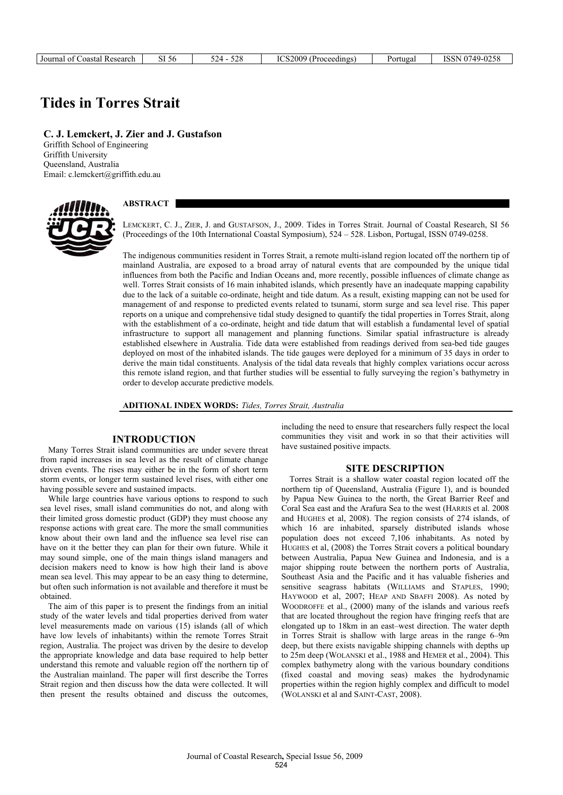| Research<br>∴oasta!<br>. nt 1<br>Journal | $\sim$ $\tau$<br>SI 56 | $\sim$<br>. .<br>-240 | ICS200 <sup>c</sup><br>۱) د<br>:oceedings | ortuga. | $0749 -$<br>0255<br>$\cap$<br>∪∠⊃e<br>יטט.<br>. . |
|------------------------------------------|------------------------|-----------------------|-------------------------------------------|---------|---------------------------------------------------|
|------------------------------------------|------------------------|-----------------------|-------------------------------------------|---------|---------------------------------------------------|

# **Tides in Torres Strait**

**C. J. Lemckert, J. Zier and J. Gustafson** 

Griffith School of Engineering Griffith University Queensland, Australia Email: c.lemckert@griffith.edu.au



## **ABSTRACT**

LEMCKERT, C. J., ZIER, J. and GUSTAFSON, J., 2009. Tides in Torres Strait. Journal of Coastal Research, SI 56 (Proceedings of the 10th International Coastal Symposium), 524 – 528. Lisbon, Portugal, ISSN 0749-0258.

The indigenous communities resident in Torres Strait, a remote multi-island region located off the northern tip of mainland Australia, are exposed to a broad array of natural events that are compounded by the unique tidal influences from both the Pacific and Indian Oceans and, more recently, possible influences of climate change as well. Torres Strait consists of 16 main inhabited islands, which presently have an inadequate mapping capability due to the lack of a suitable co-ordinate, height and tide datum. As a result, existing mapping can not be used for management of and response to predicted events related to tsunami, storm surge and sea level rise. This paper reports on a unique and comprehensive tidal study designed to quantify the tidal properties in Torres Strait, along with the establishment of a co-ordinate, height and tide datum that will establish a fundamental level of spatial infrastructure to support all management and planning functions. Similar spatial infrastructure is already established elsewhere in Australia. Tide data were established from readings derived from sea-bed tide gauges deployed on most of the inhabited islands. The tide gauges were deployed for a minimum of 35 days in order to derive the main tidal constituents. Analysis of the tidal data reveals that highly complex variations occur across this remote island region, and that further studies will be essential to fully surveying the region's bathymetry in order to develop accurate predictive models.

#### **ADITIONAL INDEX WORDS:** *Tides, Torres Strait, Australia*

## **INTRODUCTION**

Many Torres Strait island communities are under severe threat from rapid increases in sea level as the result of climate change driven events. The rises may either be in the form of short term storm events, or longer term sustained level rises, with either one having possible severe and sustained impacts.

While large countries have various options to respond to such sea level rises, small island communities do not, and along with their limited gross domestic product (GDP) they must choose any response actions with great care. The more the small communities know about their own land and the influence sea level rise can have on it the better they can plan for their own future. While it may sound simple, one of the main things island managers and decision makers need to know is how high their land is above mean sea level. This may appear to be an easy thing to determine, but often such information is not available and therefore it must be obtained.

The aim of this paper is to present the findings from an initial study of the water levels and tidal properties derived from water level measurements made on various (15) islands (all of which have low levels of inhabitants) within the remote Torres Strait region, Australia. The project was driven by the desire to develop the appropriate knowledge and data base required to help better understand this remote and valuable region off the northern tip of the Australian mainland. The paper will first describe the Torres Strait region and then discuss how the data were collected. It will then present the results obtained and discuss the outcomes,

including the need to ensure that researchers fully respect the local communities they visit and work in so that their activities will have sustained positive impacts.

#### **SITE DESCRIPTION**

Torres Strait is a shallow water coastal region located off the northern tip of Queensland, Australia (Figure 1), and is bounded by Papua New Guinea to the north, the Great Barrier Reef and Coral Sea east and the Arafura Sea to the west (HARRIS et al. 2008 and HUGHES et al, 2008). The region consists of 274 islands, of which 16 are inhabited, sparsely distributed islands whose population does not exceed 7,106 inhabitants. As noted by HUGHES et al, (2008) the Torres Strait covers a political boundary between Australia, Papua New Guinea and Indonesia, and is a major shipping route between the northern ports of Australia, Southeast Asia and the Pacific and it has valuable fisheries and sensitive seagrass habitats (WILLIAMS and STAPLES, 1990; HAYWOOD et al, 2007; HEAP AND SBAFFI 2008). As noted by WOODROFFE et al., (2000) many of the islands and various reefs that are located throughout the region have fringing reefs that are elongated up to 18km in an east–west direction. The water depth in Torres Strait is shallow with large areas in the range 6–9m deep, but there exists navigable shipping channels with depths up to 25m deep (WOLANSKI et al., 1988 and HEMER et al., 2004). This complex bathymetry along with the various boundary conditions (fixed coastal and moving seas) makes the hydrodynamic properties within the region highly complex and difficult to model (WOLANSKI et al and SAINT-CAST, 2008).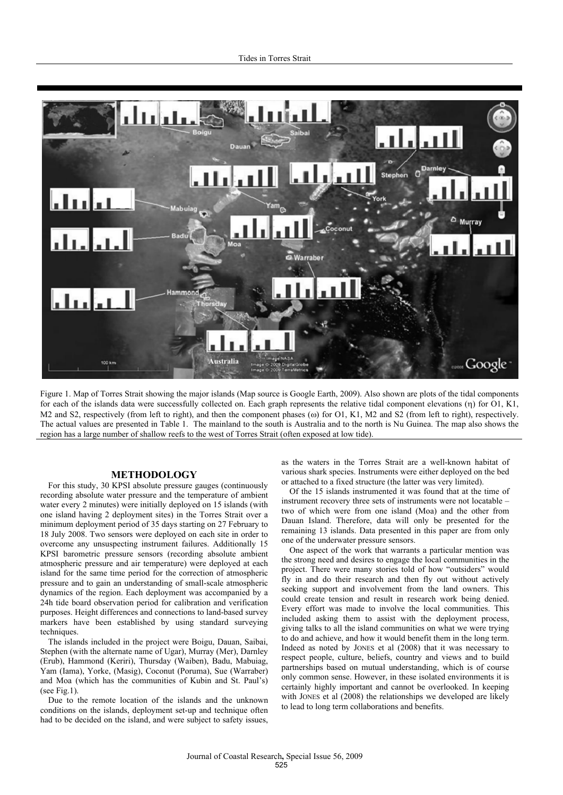

Figure 1. Map of Torres Strait showing the major islands (Map source is Google Earth, 2009). Also shown are plots of the tidal components for each of the islands data were successfully collected on. Each graph represents the relative tidal component elevations  $(\eta)$  for O1, K1, M2 and S2, respectively (from left to right), and then the component phases ( $\omega$ ) for O1, K1, M2 and S2 (from left to right), respectively. The actual values are presented in Table 1. The mainland to the south is Australia and to the north is Nu Guinea. The map also shows the region has a large number of shallow reefs to the west of Torres Strait (often exposed at low tide).

### **METHODOLOGY**

For this study, 30 KPSI absolute pressure gauges (continuously recording absolute water pressure and the temperature of ambient water every 2 minutes) were initially deployed on 15 islands (with one island having 2 deployment sites) in the Torres Strait over a minimum deployment period of 35 days starting on 27 February to 18 July 2008. Two sensors were deployed on each site in order to overcome any unsuspecting instrument failures. Additionally 15 KPSI barometric pressure sensors (recording absolute ambient atmospheric pressure and air temperature) were deployed at each island for the same time period for the correction of atmospheric pressure and to gain an understanding of small-scale atmospheric dynamics of the region. Each deployment was accompanied by a 24h tide board observation period for calibration and verification purposes. Height differences and connections to land-based survey markers have been established by using standard surveying techniques.

The islands included in the project were Boigu, Dauan, Saibai, Stephen (with the alternate name of Ugar), Murray (Mer), Darnley (Erub), Hammond (Keriri), Thursday (Waiben), Badu, Mabuiag, Yam (Iama), Yorke, (Masig), Coconut (Poruma), Sue (Warraber) and Moa (which has the communities of Kubin and St. Paul's) (see Fig.1).

Due to the remote location of the islands and the unknown conditions on the islands, deployment set-up and technique often had to be decided on the island, and were subject to safety issues,

as the waters in the Torres Strait are a well-known habitat of various shark species. Instruments were either deployed on the bed or attached to a fixed structure (the latter was very limited).

Of the 15 islands instrumented it was found that at the time of instrument recovery three sets of instruments were not locatable – two of which were from one island (Moa) and the other from Dauan Island. Therefore, data will only be presented for the remaining 13 islands. Data presented in this paper are from only one of the underwater pressure sensors.

One aspect of the work that warrants a particular mention was the strong need and desires to engage the local communities in the project. There were many stories told of how "outsiders" would fly in and do their research and then fly out without actively seeking support and involvement from the land owners. This could create tension and result in research work being denied. Every effort was made to involve the local communities. This included asking them to assist with the deployment process, giving talks to all the island communities on what we were trying to do and achieve, and how it would benefit them in the long term. Indeed as noted by JONES et al (2008) that it was necessary to respect people, culture, beliefs, country and views and to build partnerships based on mutual understanding, which is of course only common sense. However, in these isolated environments it is certainly highly important and cannot be overlooked. In keeping with JONES et al (2008) the relationships we developed are likely to lead to long term collaborations and benefits.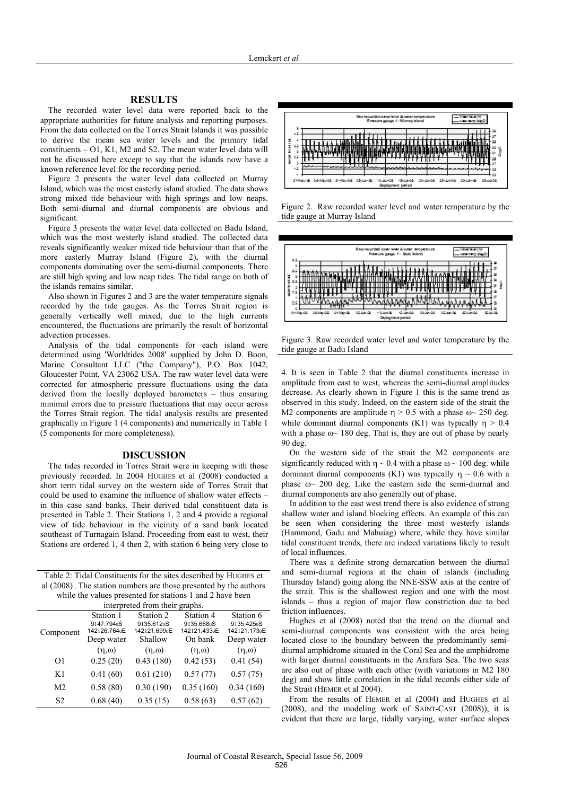## **RESULTS**

The recorded water level data were reported back to the appropriate authorities for future analysis and reporting purposes. From the data collected on the Torres Strait Islands it was possible to derive the mean sea water levels and the primary tidal constituents – O1, K1, M2 and S2. The mean water level data will not be discussed here except to say that the islands now have a known reference level for the recording period.

Figure 2 presents the water level data collected on Murray Island, which was the most easterly island studied. The data shows strong mixed tide behaviour with high springs and low neaps. Both semi-diurnal and diurnal components are obvious and significant.

Figure 3 presents the water level data collected on Badu Island, which was the most westerly island studied. The collected data reveals significantly weaker mixed tide behaviour than that of the more easterly Murray Island (Figure 2), with the diurnal components dominating over the semi-diurnal components. There are still high spring and low neap tides. The tidal range on both of the islands remains similar.

Also shown in Figures 2 and 3 are the water temperature signals recorded by the tide gauges. As the Torres Strait region is generally vertically well mixed, due to the high currents encountered, the fluctuations are primarily the result of horizontal advection processes.

Analysis of the tidal components for each island were determined using 'Worldtides 2008' supplied by John D. Boon, Marine Consultant LLC ("the Company"), P.O. Box 1042, Gloucester Point, VA 23062 USA. The raw water level data were corrected for atmospheric pressure fluctuations using the data derived from the locally deployed barometers – thus ensuring minimal errors due to pressure fluctuations that may occur across the Torres Strait region. The tidal analysis results are presented graphically in Figure 1 (4 components) and numerically in Table 1 (5 components for more completeness).

#### **DISCUSSION**

The tides recorded in Torres Strait were in keeping with those previously recorded. In 2004 HUGHES et al (2008) conducted a short term tidal survey on the western side of Torres Strait that could be used to examine the influence of shallow water effects – in this case sand banks. Their derived tidal constituent data is presented in Table 2. Their Stations 1, 2 and 4 provide a regional view of tide behaviour in the vicinity of a sand bank located southeast of Turnagain Island. Proceeding from east to west, their Stations are ordered 1, 4 then 2, with station 6 being very close to

Table 2: Tidal Constituents for the sites described by HUGHES et al (2008) . The station numbers are those presented by the authors while the values presented for stations 1 and 2 have been

| interpreted from their graphs. |                                                      |                                         |                                         |                                         |  |  |  |
|--------------------------------|------------------------------------------------------|-----------------------------------------|-----------------------------------------|-----------------------------------------|--|--|--|
| Component                      | Station 1<br>9147.794 <sub>0</sub> S<br>142126.764oE | Station 2<br>9135.612oS<br>142121.699oE | Station 4<br>9135.668oS<br>142121.433oE | Station 6<br>9135.425oS<br>142121.173oE |  |  |  |
|                                | Deep water<br>$(n, \omega)$                          | Shallow<br>$(\eta,\omega)$              | On bank<br>$(n, \omega)$                | Deep water<br>$(\eta,\omega)$           |  |  |  |
| O <sub>1</sub>                 | 0.25(20)                                             | 0.43(180)                               | 0.42(53)                                | 0.41(54)                                |  |  |  |
|                                |                                                      |                                         |                                         |                                         |  |  |  |
| K1                             | 0.41(60)                                             | 0.61(210)                               | 0.57(77)                                | 0.57(75)                                |  |  |  |
| M <sub>2</sub>                 | 0.58(80)                                             | 0.30(190)                               | 0.35(160)                               | 0.34(160)                               |  |  |  |
| S <sub>2</sub>                 | 0.68(40)                                             | 0.35(15)                                | 0.58(63)                                | 0.57(62)                                |  |  |  |



Figure 2. Raw recorded water level and water temperature by the tide gauge at Murray Island



Figure 3. Raw recorded water level and water temperature by the tide gauge at Badu Island

4. It is seen in Table 2 that the diurnal constituents increase in amplitude from east to west, whereas the semi-diurnal amplitudes decrease. As clearly shown in Figure 1 this is the same trend as observed in this study. Indeed, on the eastern side of the strait the M2 components are amplitude  $\eta > 0.5$  with a phase  $\omega \sim 250$  deg. while dominant diurnal components (K1) was typically  $\eta > 0.4$ with a phase  $\omega$  180 deg. That is, they are out of phase by nearly 90 deg.

On the western side of the strait the M2 components are significantly reduced with  $\eta \sim 0.4$  with a phase  $\omega \sim 100$  deg. while dominant diurnal components (K1) was typically  $\eta \sim 0.6$  with a phase  $\omega$  200 deg. Like the eastern side the semi-diurnal and diurnal components are also generally out of phase.

In addition to the east west trend there is also evidence of strong shallow water and island blocking effects. An example of this can be seen when considering the three most westerly islands (Hammond, Gadu and Mabuiag) where, while they have similar tidal constituent trends, there are indeed variations likely to result of local influences.

There was a definite strong demarcation between the diurnal and semi-diurnal regions at the chain of islands (including Thursday Island) going along the NNE-SSW axis at the centre of the strait. This is the shallowest region and one with the most islands – thus a region of major flow constriction due to bed friction influences.

Hughes et al (2008) noted that the trend on the diurnal and semi-diurnal components was consistent with the area being located close to the boundary between the predominantly semidiurnal amphidrome situated in the Coral Sea and the amphidrome with larger diurnal constituents in the Arafura Sea. The two seas are also out of phase with each other (with variations in M2 180 deg) and show little correlation in the tidal records either side of the Strait (HEMER et al 2004).

From the results of HEMER et al (2004) and HUGHES et al (2008), and the modeling work of SAINT-CAST (2008)), it is evident that there are large, tidally varying, water surface slopes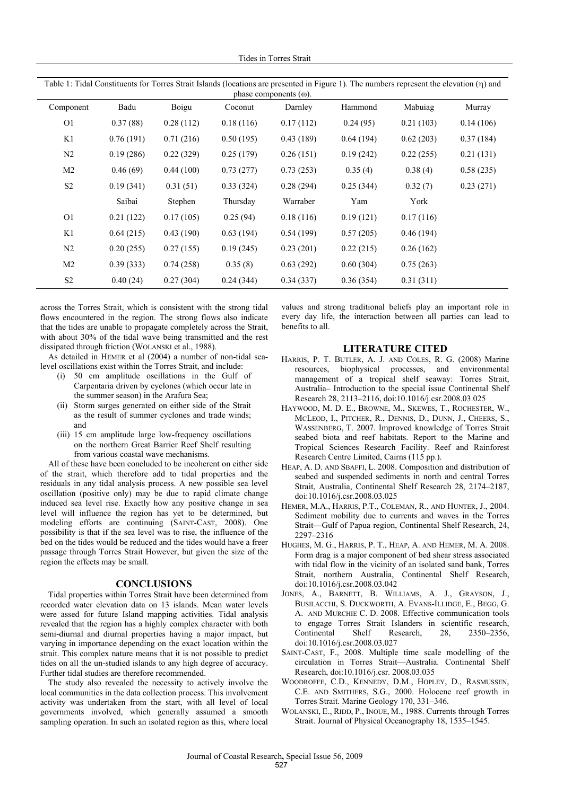Tides in Torres Strait

| $\frac{1}{1}$ . Then constructing for Torres Street Houring (Townsom are presence in Figure 1). The memory represent the etc. (1) and<br>phase components $(\omega)$ . |           |              |           |           |           |           |           |  |  |
|------------------------------------------------------------------------------------------------------------------------------------------------------------------------|-----------|--------------|-----------|-----------|-----------|-----------|-----------|--|--|
| Component                                                                                                                                                              | Badu      | <b>Boigu</b> | Coconut   | Darnley   | Hammond   | Mabuiag   | Murray    |  |  |
| O <sub>1</sub>                                                                                                                                                         | 0.37(88)  | 0.28(112)    | 0.18(116) | 0.17(112) | 0.24(95)  | 0.21(103) | 0.14(106) |  |  |
| K1                                                                                                                                                                     | 0.76(191) | 0.71(216)    | 0.50(195) | 0.43(189) | 0.64(194) | 0.62(203) | 0.37(184) |  |  |
| N <sub>2</sub>                                                                                                                                                         | 0.19(286) | 0.22(329)    | 0.25(179) | 0.26(151) | 0.19(242) | 0.22(255) | 0.21(131) |  |  |
| M <sub>2</sub>                                                                                                                                                         | 0.46(69)  | 0.44(100)    | 0.73(277) | 0.73(253) | 0.35(4)   | 0.38(4)   | 0.58(235) |  |  |
| S <sub>2</sub>                                                                                                                                                         | 0.19(341) | 0.31(51)     | 0.33(324) | 0.28(294) | 0.25(344) | 0.32(7)   | 0.23(271) |  |  |
|                                                                                                                                                                        | Saibai    | Stephen      | Thursday  | Warraber  | Yam       | York      |           |  |  |
| O <sub>1</sub>                                                                                                                                                         | 0.21(122) | 0.17(105)    | 0.25(94)  | 0.18(116) | 0.19(121) | 0.17(116) |           |  |  |
| K1                                                                                                                                                                     | 0.64(215) | 0.43(190)    | 0.63(194) | 0.54(199) | 0.57(205) | 0.46(194) |           |  |  |
| N <sub>2</sub>                                                                                                                                                         | 0.20(255) | 0.27(155)    | 0.19(245) | 0.23(201) | 0.22(215) | 0.26(162) |           |  |  |
| M <sub>2</sub>                                                                                                                                                         | 0.39(333) | 0.74(258)    | 0.35(8)   | 0.63(292) | 0.60(304) | 0.75(263) |           |  |  |
| S <sub>2</sub>                                                                                                                                                         | 0.40(24)  | 0.27(304)    | 0.24(344) | 0.34(337) | 0.36(354) | 0.31(311) |           |  |  |

Table 1: Tidal Constituents for Torres Strait Islands (locations are presented in Figure 1). The numbers represent the elevation () and

across the Torres Strait, which is consistent with the strong tidal flows encountered in the region. The strong flows also indicate that the tides are unable to propagate completely across the Strait, with about 30% of the tidal wave being transmitted and the rest dissipated through friction (WOLANSKI et al., 1988).

As detailed in HEMER et al (2004) a number of non-tidal sealevel oscillations exist within the Torres Strait, and include:

- (i) 50 cm amplitude oscillations in the Gulf of Carpentaria driven by cyclones (which occur late in the summer season) in the Arafura Sea;
- (ii) Storm surges generated on either side of the Strait as the result of summer cyclones and trade winds; and
- (iii) 15 cm amplitude large low-frequency oscillations on the northern Great Barrier Reef Shelf resulting from various coastal wave mechanisms.

All of these have been concluded to be incoherent on either side of the strait, which therefore add to tidal properties and the residuals in any tidal analysis process. A new possible sea level oscillation (positive only) may be due to rapid climate change induced sea level rise. Exactly how any positive change in sea level will influence the region has yet to be determined, but modeling efforts are continuing (SAINT-CAST, 2008). One possibility is that if the sea level was to rise, the influence of the bed on the tides would be reduced and the tides would have a freer passage through Torres Strait However, but given the size of the region the effects may be small.

## **CONCLUSIONS**

Tidal properties within Torres Strait have been determined from recorded water elevation data on 13 islands. Mean water levels were assed for future Island mapping activities. Tidal analysis revealed that the region has a highly complex character with both semi-diurnal and diurnal properties having a major impact, but varying in importance depending on the exact location within the strait. This complex nature means that it is not possible to predict tides on all the un-studied islands to any high degree of accuracy. Further tidal studies are therefore recommended.

The study also revealed the necessity to actively involve the local communities in the data collection process. This involvement activity was undertaken from the start, with all level of local governments involved, which generally assumed a smooth sampling operation. In such an isolated region as this, where local

values and strong traditional beliefs play an important role in every day life, the interaction between all parties can lead to benefits to all.

## **LITERATURE CITED**

- HARRIS, P. T. BUTLER, A. J. AND COLES, R. G. (2008) Marine resources, biophysical processes, and environmental management of a tropical shelf seaway: Torres Strait, Australia– Introduction to the special issue Continental Shelf Research 28, 2113–2116, doi:10.1016/j.csr.2008.03.025
- HAYWOOD, M. D. E., BROWNE, M., SKEWES, T., ROCHESTER, W., MCLEOD, I., PITCHER, R., DENNIS, D., DUNN, J., CHEERS, S., WASSENBERG, T. 2007. Improved knowledge of Torres Strait seabed biota and reef habitats. Report to the Marine and Tropical Sciences Research Facility. Reef and Rainforest Research Centre Limited, Cairns (115 pp.).
- HEAP, A. D. AND SBAFFI, L. 2008. Composition and distribution of seabed and suspended sediments in north and central Torres Strait, Australia, Continental Shelf Research 28, 2174–2187, doi:10.1016/j.csr.2008.03.025
- HEMER, M.A., HARRIS, P.T., COLEMAN, R., AND HUNTER, J., 2004. Sediment mobility due to currents and waves in the Torres Strait—Gulf of Papua region, Continental Shelf Research, 24, 2297–2316
- HUGHES, M. G., HARRIS, P. T., HEAP, A. AND HEMER, M. A. 2008. Form drag is a major component of bed shear stress associated with tidal flow in the vicinity of an isolated sand bank, Torres Strait, northern Australia, Continental Shelf Research, doi:10.1016/j.csr.2008.03.042
- JONES, A., BARNETT, B. WILLIAMS, A. J., GRAYSON, J., BUSILACCHI, S. DUCKWORTH, A. EVANS-ILLIDGE, E., BEGG, G. A. AND MURCHIE C. D. 2008. Effective communication tools to engage Torres Strait Islanders in scientific research, Continental Shelf Research, 28, 2350–2356, doi:10.1016/j.csr.2008.03.027
- SAINT-CAST, F., 2008. Multiple time scale modelling of the circulation in Torres Strait—Australia. Continental Shelf Research, doi:10.1016/j.csr. 2008.03.035
- WOODROFFE, C.D., KENNEDY, D.M., HOPLEY, D., RASMUSSEN, C.E. AND SMITHERS, S.G., 2000. Holocene reef growth in Torres Strait. Marine Geology 170, 331–346.
- WOLANSKI, E., RIDD, P., INOUE, M., 1988. Currents through Torres Strait. Journal of Physical Oceanography 18, 1535–1545.